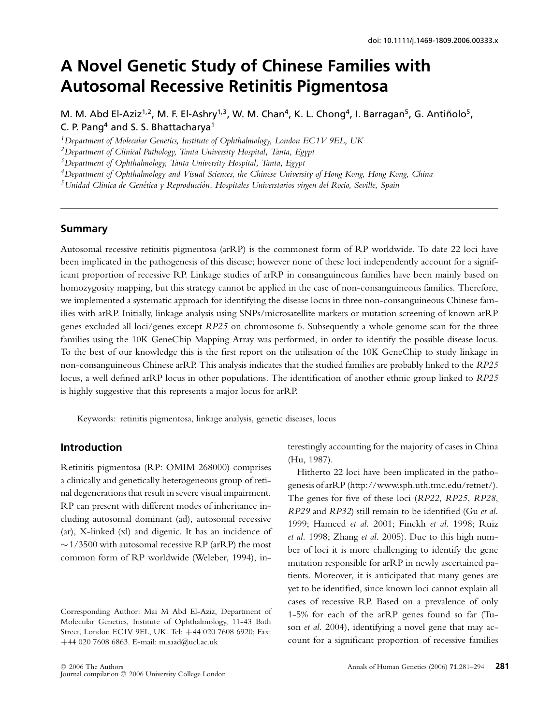# **A Novel Genetic Study of Chinese Families with Autosomal Recessive Retinitis Pigmentosa**

M. M. Abd El-Aziz<sup>1,2</sup>, M. F. El-Ashry<sup>1,3</sup>, W. M. Chan<sup>4</sup>, K. L. Chong<sup>4</sup>, I. Barragan<sup>5</sup>, G. Antiñolo<sup>5</sup>, C. P. Pang<sup>4</sup> and S. S. Bhattacharya<sup>1</sup>

*1Department of Molecular Genetics, Institute of Ophthalmology, London EC1V 9EL, UK*

*2Department of Clinical Pathology, Tanta University Hospital, Tanta, Egypt*

*3Department of Ophthalmology, Tanta University Hospital, Tanta, Egypt*

*4Department of Ophthalmology and Visual Sciences, the Chinese University of Hong Kong, Hong Kong, China*

*5Unidad Clinica de Genetica y Reproducci ´ on, Hospitales Universtarios virgen del Rocio, Seville, Spain ´*

#### **Summary**

Autosomal recessive retinitis pigmentosa (arRP) is the commonest form of RP worldwide. To date 22 loci have been implicated in the pathogenesis of this disease; however none of these loci independently account for a significant proportion of recessive RP. Linkage studies of arRP in consanguineous families have been mainly based on homozygosity mapping, but this strategy cannot be applied in the case of non-consanguineous families. Therefore, we implemented a systematic approach for identifying the disease locus in three non-consanguineous Chinese families with arRP. Initially, linkage analysis using SNPs/microsatellite markers or mutation screening of known arRP genes excluded all loci/genes except *RP25* on chromosome 6. Subsequently a whole genome scan for the three families using the 10K GeneChip Mapping Array was performed, in order to identify the possible disease locus. To the best of our knowledge this is the first report on the utilisation of the 10K GeneChip to study linkage in non-consanguineous Chinese arRP. This analysis indicates that the studied families are probably linked to the *RP25* locus, a well defined arRP locus in other populations. The identification of another ethnic group linked to *RP25* is highly suggestive that this represents a major locus for arRP.

Keywords: retinitis pigmentosa, linkage analysis, genetic diseases, locus

## **Introduction**

Retinitis pigmentosa (RP: OMIM 268000) comprises a clinically and genetically heterogeneous group of retinal degenerations that result in severe visual impairment. RP can present with different modes of inheritance including autosomal dominant (ad), autosomal recessive (ar), X-linked (xl) and digenic. It has an incidence of  $\sim$  1/3500 with autosomal recessive RP (arRP) the most common form of RP worldwide (Weleber, 1994), interestingly accounting for the majority of cases in China (Hu, 1987).

Hitherto 22 loci have been implicated in the pathogenesis of arRP (http://www.sph.uth.tmc.edu/retnet/). The genes for five of these loci (*RP22*, *RP25*, *RP28*, *RP29* and *RP32*) still remain to be identified (Gu *et al.* 1999; Hameed *et al.* 2001; Finckh *et al.* 1998; Ruiz *et al.* 1998; Zhang *et al.* 2005). Due to this high number of loci it is more challenging to identify the gene mutation responsible for arRP in newly ascertained patients. Moreover, it is anticipated that many genes are yet to be identified, since known loci cannot explain all cases of recessive RP. Based on a prevalence of only 1-5% for each of the arRP genes found so far (Tuson *et al.* 2004), identifying a novel gene that may account for a significant proportion of recessive families

Corresponding Author: Mai M Abd El-Aziz, Department of Molecular Genetics, Institute of Ophthalmology, 11-43 Bath Street, London EC1V 9EL, UK. Tel: **+**44 020 7608 6920; Fax: **+**44 020 7608 6863. E-mail: m.saad@ucl.ac.uk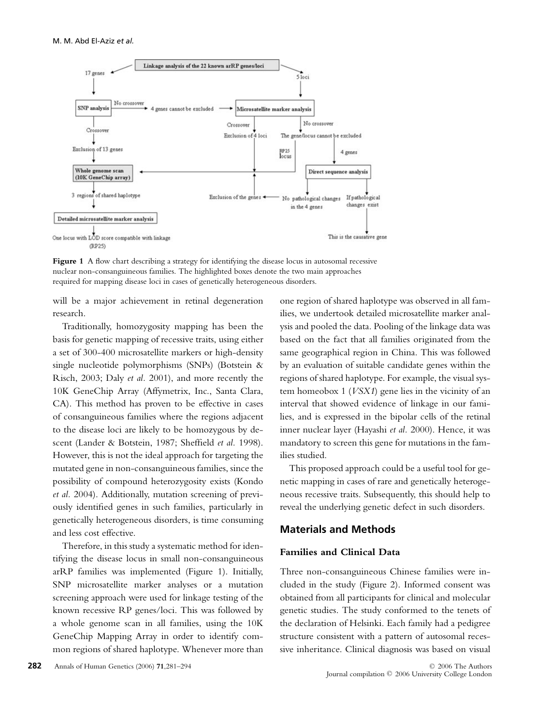

**Figure 1** A flow chart describing a strategy for identifying the disease locus in autosomal recessive nuclear non-consanguineous families. The highlighted boxes denote the two main approaches required for mapping disease loci in cases of genetically heterogeneous disorders.

will be a major achievement in retinal degeneration research.

Traditionally, homozygosity mapping has been the basis for genetic mapping of recessive traits, using either a set of 300-400 microsatellite markers or high-density single nucleotide polymorphisms (SNPs) (Botstein & Risch, 2003; Daly *et al.* 2001), and more recently the 10K GeneChip Array (Affymetrix, Inc., Santa Clara, CA). This method has proven to be effective in cases of consanguineous families where the regions adjacent to the disease loci are likely to be homozygous by descent (Lander & Botstein, 1987; Sheffield *et al.* 1998). However, this is not the ideal approach for targeting the mutated gene in non-consanguineous families, since the possibility of compound heterozygosity exists (Kondo *et al.* 2004). Additionally, mutation screening of previously identified genes in such families, particularly in genetically heterogeneous disorders, is time consuming and less cost effective.

Therefore, in this study a systematic method for identifying the disease locus in small non-consanguineous arRP families was implemented (Figure 1). Initially, SNP microsatellite marker analyses or a mutation screening approach were used for linkage testing of the known recessive RP genes/loci. This was followed by a whole genome scan in all families, using the 10K GeneChip Mapping Array in order to identify common regions of shared haplotype. Whenever more than one region of shared haplotype was observed in all families, we undertook detailed microsatellite marker analysis and pooled the data. Pooling of the linkage data was based on the fact that all families originated from the same geographical region in China. This was followed by an evaluation of suitable candidate genes within the regions of shared haplotype. For example, the visual system homeobox 1 (*VSX1*) gene lies in the vicinity of an interval that showed evidence of linkage in our families, and is expressed in the bipolar cells of the retinal inner nuclear layer (Hayashi *et al.* 2000). Hence, it was mandatory to screen this gene for mutations in the families studied.

This proposed approach could be a useful tool for genetic mapping in cases of rare and genetically heterogeneous recessive traits. Subsequently, this should help to reveal the underlying genetic defect in such disorders.

# **Materials and Methods**

#### **Families and Clinical Data**

Three non-consanguineous Chinese families were included in the study (Figure 2). Informed consent was obtained from all participants for clinical and molecular genetic studies. The study conformed to the tenets of the declaration of Helsinki. Each family had a pedigree structure consistent with a pattern of autosomal recessive inheritance. Clinical diagnosis was based on visual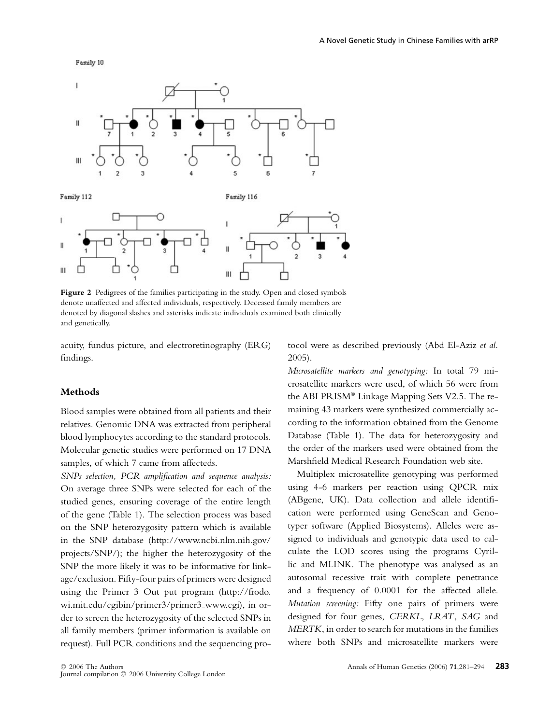Family 10



Figure 2 Pedigrees of the families participating in the study. Open and closed symbols denote unaffected and affected individuals, respectively. Deceased family members are denoted by diagonal slashes and asterisks indicate individuals examined both clinically and genetically.

acuity, fundus picture, and electroretinography (ERG) findings.

**Methods**

Blood samples were obtained from all patients and their relatives. Genomic DNA was extracted from peripheral blood lymphocytes according to the standard protocols. Molecular genetic studies were performed on 17 DNA samples, of which 7 came from affecteds.

*SNPs selection, PCR amplification and sequence analysis:* On average three SNPs were selected for each of the studied genes, ensuring coverage of the entire length of the gene (Table 1). The selection process was based on the SNP heterozygosity pattern which is available in the SNP database (http://www.ncbi.nlm.nih.gov/ projects/SNP/); the higher the heterozygosity of the SNP the more likely it was to be informative for linkage/exclusion. Fifty-four pairs of primers were designed using the Primer 3 Out put program (http://frodo. wi.mit.edu/cgibin/primer3/primer3 www.cgi), in order to screen the heterozygosity of the selected SNPs in all family members (primer information is available on request). Full PCR conditions and the sequencing protocol were as described previously (Abd El-Aziz *et al.* 2005).

*Microsatellite markers and genotyping:* In total 79 microsatellite markers were used, of which 56 were from the ABI PRISM® Linkage Mapping Sets V2.5. The remaining 43 markers were synthesized commercially according to the information obtained from the Genome Database (Table 1). The data for heterozygosity and the order of the markers used were obtained from the Marshfield Medical Research Foundation web site.

Multiplex microsatellite genotyping was performed using 4-6 markers per reaction using QPCR mix (ABgene, UK). Data collection and allele identification were performed using GeneScan and Genotyper software (Applied Biosystems). Alleles were assigned to individuals and genotypic data used to calculate the LOD scores using the programs Cyrillic and MLINK. The phenotype was analysed as an autosomal recessive trait with complete penetrance and a frequency of 0.0001 for the affected allele. *Mutation screening:* Fifty one pairs of primers were designed for four genes, *CERKL*, *LRAT*, *SAG* and *MERTK*, in order to search for mutations in the families where both SNPs and microsatellite markers were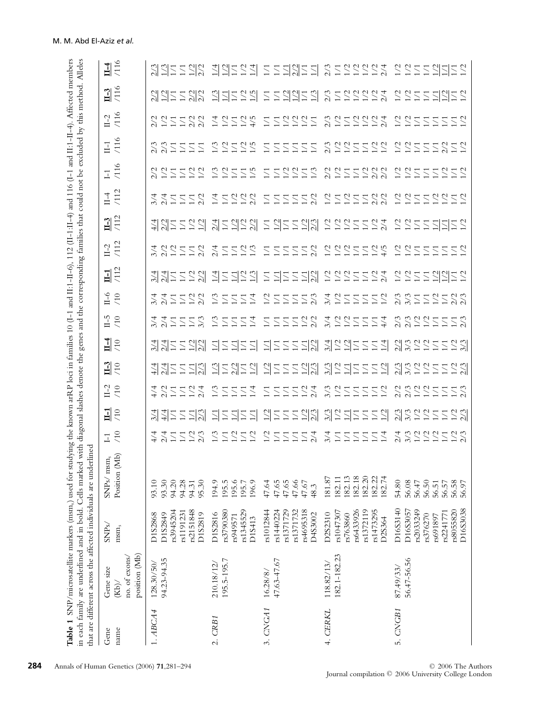|              | Table 1 SNP/microsatellite markers (msm <sub>s</sub> ) used for |                                                                                                 | in each family are underlined and in bold. Cells marked with diagonal                                              |                                                |                   | slashes denote the                                 |                                                                | genes                                                                                       | and the                                                                                      |                                                                                           |                                                                           | corresponding families that                                                        |                                   | could not be                                                                                     |                                      |                                                                                      | studying the known arRP loci in families 10 (1-1 and II:1-II-6), 112 (II-1:II-4) and 116 (I-1 and II:1-II-4). Affected members<br>excluded by this method. |                            | Alleles                         |
|--------------|-----------------------------------------------------------------|-------------------------------------------------------------------------------------------------|--------------------------------------------------------------------------------------------------------------------|------------------------------------------------|-------------------|----------------------------------------------------|----------------------------------------------------------------|---------------------------------------------------------------------------------------------|----------------------------------------------------------------------------------------------|-------------------------------------------------------------------------------------------|---------------------------------------------------------------------------|------------------------------------------------------------------------------------|-----------------------------------|--------------------------------------------------------------------------------------------------|--------------------------------------|--------------------------------------------------------------------------------------|------------------------------------------------------------------------------------------------------------------------------------------------------------|----------------------------|---------------------------------|
| Gene<br>name | position (Mb)<br>no. of exons/<br>Gene size<br>(Kb)             | SNPs/<br>$msm_s$                                                                                | that are different across the affected individuals are underlined<br>(Mb)<br>$msm_s$<br>Position<br>${\rm SNPs} /$ | /10<br>$\Box$                                  | $\frac{1}{10}$    | $11-2$<br>/10                                      | $\frac{1}{2}$                                                  | $\frac{14}{10}$                                                                             | ω<br>/10<br>금                                                                                | $0 - 11$<br>(10)                                                                          | $\frac{11}{412}$                                                          | $IL - 2$<br>/112                                                                   | $\frac{1}{112}$                   | /112<br>$1 - 4$                                                                                  | $\circ$<br>$\overline{11}$<br>$\Box$ | /116<br>$\overline{1}$                                                               | /116<br>$11-2$                                                                                                                                             | $\frac{1}{116}$            | $\frac{14}{116}$                |
| $1.$ ABCA4   | 94.23-94.35<br>128.30/50/                                       | rs2151848<br>rs3945204<br>rs1191231<br>D1S2819<br>D1S2849<br>D1S2868                            | 93.10<br>93.30<br>94.20<br>94.28<br>95.30<br>94.31                                                                 | $\frac{2}{2}$<br>252<br>$\frac{4}{4}$          |                   | 2 コ コ コ ユ ス                                        | 2/3<br>$\overline{11}$<br>$\sum$<br>$\overline{2}$             | $\frac{2}{2}$<br>$\overline{\Sigma}$                                                        | $\overline{11}$<br>$\overline{\phantom{0}}$                                                  | $\overline{\mathbb{Z}}$                                                                   | $\overline{\Sigma}$                                                       | 222<br>$\frac{1}{2}$                                                               | 211122                            | $\sum_{i=1}^{n} \sum_{i=1}^{n}$<br>$\sum$                                                        | 25522                                | ΞZ<br>$\sum$<br>Ξ                                                                    | $\frac{2}{2}$ $\frac{2}{2}$<br>$\overline{11}$<br>$\overline{\phantom{0}}$                                                                                 | <u>레</u> 리크 그 기능           | $\Sigma \Sigma$                 |
| 2. CRB1      | 195.5-195.7<br>210.18/12                                        | rs3790380<br>rs1345529<br>D1S2816<br>rs949571<br>D1S413                                         | 194.9<br>195.5<br>195.6<br>196.9<br>195.7                                                                          | $\frac{1}{2}$<br>1/3<br>1/2<br>$\overline{11}$ |                   | 1/3<br>$\frac{4}{3}$<br>SSS                        | <u>리를 위를 가</u>                                                 | 1/1<br>$\overline{\Sigma}$<br>$\overline{\Sigma}$<br><u>리</u>                               | $\frac{1}{3}$<br>$\geq$<br>$\sum$<br>$\sum$<br>$\sum$                                        | $\sum$<br>$\geq$<br>$\overline{\Sigma}$<br>Ξ                                              | $\Sigma$ $\Sigma$ $\Sigma$<br>$\overline{2}$                              | 5522<br>2/4                                                                        | 지금 기술 것<br>기                      | 222<br>$\geq$<br>$\overline{\Sigma}$                                                             | 255<br>1/5<br>1/3                    | $\leq$ $\geq$<br>1/5<br>$\mathbb{Z}$<br>$\overline{\mathcal{Z}}$                     | $\frac{2}{2}$<br>525<br>$\frac{1}{4}$                                                                                                                      |                            | <u> 김김</u> 승의                   |
| 3. CNGA1     | 47.63-47.67<br>16.28/8/                                         | rs1371729<br>rs4695318<br>rs1012844<br>rs1440224<br>rs1371732<br>D4S3002                        | $47.66$<br>$47.67$<br>47.64<br>47.65<br>47.65<br>48.3                                                              | $22 \leq$<br>ZZZ<br>1/1                        | 불물리와 라물리물의 허물물물기의 | 722<br>$\overline{1/1}$<br>1/1<br>$\overline{1/1}$ | 255<br>$\frac{17}{20}$                                         | $\frac{1}{12}$<br>$\overline{11}$<br>$\overline{11}$<br>$\overline{1/1}$<br>$\overline{11}$ | $\frac{2}{2}$<br>2/2<br>$\overline{11}$<br>$\sum$<br>$\overline{11}$<br>1/1                  | $\geq$<br>$\frac{2}{3}$<br>$\sum$<br>$\geq$<br>$\overline{11}$<br>$\overline{\mathbb{Z}}$ | $\frac{17}{22}$<br>$\sum$<br>$\overline{\phantom{0}}$<br>$\overline{\Xi}$ | 222<br>ZZZ                                                                         | '를 레클로 XIV '를 가능                  | $\frac{2}{2}$<br>$\overline{11}$<br>1/1<br>$\overline{11}$<br>$\overline{11}$<br>$\overline{11}$ | 222222                               | $\overline{1/1}$<br>$\overline{11}$<br>$\overline{11}$<br>$\sum$<br>$\sum$<br>$\sum$ | $\frac{2}{2}$<br>$\frac{2}{1}$<br>$\overline{11}$<br>1/1<br>$\sum$                                                                                         |                            | $\sum$                          |
| 4. CERKL     | 182.1-182.23<br>118.82/13/                                      | rs6433926<br>rs1372119<br>rs1473295<br>rs1047307<br>D2S2310<br>rs763860<br>D2S364               | 181.87<br>182.11<br>182.13<br>182.18<br>182.20<br>182.22<br>182.74                                                 | 222<br>$\frac{1}{4}$<br>222                    |                   | 321<br>2222                                        | 321<br>1/2<br>$\overline{1/1}$<br>$\overline{2}\,\overline{2}$ | $\frac{3}{4}$ $\frac{1}{2}$<br>$\overline{14}$<br>1/1<br>$\overline{11}$<br>$\overline{11}$ | 3/4<br>$\frac{1}{2}$<br>1/2<br>$\frac{4}{4}$<br>$\overline{11}$<br>$\sum$<br>$\overline{11}$ | 3/4<br>$\geq$<br>$\geq$<br>$\overline{\phantom{0}}$<br>$\sum$<br>$\sum$<br>$\sum$         | $\begin{array}{c}\n2 \\ 2 \\ 1\n\end{array}$<br>522<br>$\overline{11}$    | ここここことか                                                                            | ここごく                              | $\frac{2}{2}$<br>525<br>722<br>722                                                               | 2222222                              | 222<br>222<br>$\frac{1}{2}$                                                          | 222<br>2224                                                                                                                                                | 2015220 1220211220 2222222 | 112111 2122222                  |
| 5. CNGB1     | 56.47-56.56<br>87.49/33/                                        | D16S3140<br>D16S3038<br>rs2033249<br>rs8055820<br>D16S3057<br>rs2241771<br>rs376270<br>rs691897 | 56.50<br>56.58<br>54.80<br>56.08<br>56.57<br>56.47<br>56.51<br>56.97                                               | さいこうここ<br>$\frac{2}{2}$                        | 2245552 22355552  | 2 2 2 2 2 2 2 2 2                                  | 1723<br>$\frac{2}{3}$<br>$\frac{2}{12}$<br>$\overline{11}$     | 1723<br>$\frac{2}{3}$<br>$\frac{1}{2}$ $\frac{2}{2}$<br>$\overline{11}$                     | 2/3<br>$\frac{2}{12}$<br>$\frac{17}{20}$<br>2/3<br>$\overline{11}$<br>$\sum$                 | 3/3<br>$\overline{11}$<br>$\sum$<br>$\sum$                                                | $\overline{2}$<br>$\frac{1}{2}$<br>$\geq$<br>$\leq$ $\geq$<br>$\sum$      | $\begin{array}{c}\n 22 \\  25\n \end{array}$<br>$\leq$ $\geq$<br>$\Sigma$<br>$\Xi$ | 22555<br>$\frac{17}{2}$<br>$\sum$ | 음음음음음<br>$\leq$ $\geq$                                                                           | 22555<br>252                         | 1/2<br>$\frac{2}{2}$<br>$\leq$ $\geq$<br>ZZZX                                        | $\frac{2}{2}$<br>$\geq$<br>$\leq$ $\geq$<br>$\overline{\phantom{0}}$<br>$\sum$<br>$\Xi$<br>$\overline{\phantom{0}}$                                        | 2 2 2 2 2 2 2 2 2          | <u> 올 알 볼 일 데</u><br>$\angle$ 5 |

**284** Annals of Human Genetics (2006) **71**, 281–294 C 2006 The Authors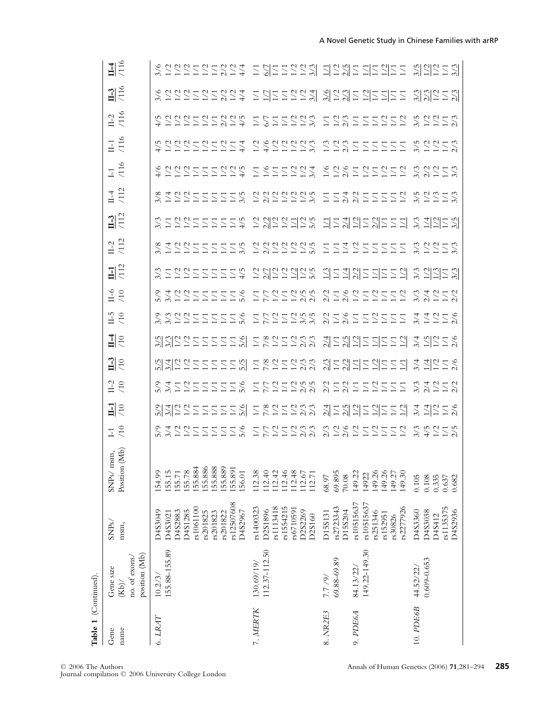| Table 1 (Continued). |                                                     |                                                                                                                    |                                                                                                                                                                                                                                |                                                                        |                                                                                            |                       |                                             |                     |            |             |                  |          |                  |                                                                         |                                    |                                                                          |                                                                    |                                    |                                                |
|----------------------|-----------------------------------------------------|--------------------------------------------------------------------------------------------------------------------|--------------------------------------------------------------------------------------------------------------------------------------------------------------------------------------------------------------------------------|------------------------------------------------------------------------|--------------------------------------------------------------------------------------------|-----------------------|---------------------------------------------|---------------------|------------|-------------|------------------|----------|------------------|-------------------------------------------------------------------------|------------------------------------|--------------------------------------------------------------------------|--------------------------------------------------------------------|------------------------------------|------------------------------------------------|
| Gene<br>name         | position (Mb)<br>no. of exons/<br>Gene size<br>(Kb) | SNPs/<br>$msm_s$                                                                                                   | Position (Mb)<br>$msm_s$<br>$\ensuremath{\mathrm{SNP}\mathrm{s}}\xspace/$                                                                                                                                                      | $\frac{1}{10}$                                                         | $\frac{1}{10}$                                                                             | $^{12}_{-10}$         | $\frac{1}{2}$                               | 밀의                  | $11-5$     | or,<br>F    | $\frac{11}{112}$ | $IL - 2$ | $\frac{13}{112}$ | $11-4$<br>$/112$                                                        | $\frac{11}{116}$                   | II-1<br>/116                                                             | $IL-2$<br>/116                                                     | $\frac{1}{116}$                    | $\frac{14}{116}$                               |
| 6. LRAT              | 155.88-155.89<br>10.2/3/                            | rs12507608<br>rs1061100<br>D4S2883<br>D4S1285<br>D4S3049<br>D4S2967<br>rs201825<br>rs201823<br>rs201822<br>D4S3021 | $15.5, 25.8, 36.8, 36.8, 37.5, 38.8, 37.5, 38.8, 39.5, 39.5, 39.5, 39.5, 39.5, 39.5, 39.5, 39.5, 39.5, 39.5, 39.5, 39.5, 39.5, 39.5, 39.5, 39.5, 39.5, 39.5, 39.5, 39.5, 39.5, 39.5, 39.5, 39.5, 39.5, 39.5, 39.5, 39.5, 39.5$ | ちょしつけいけいしょう エフリーリクタ クラククノリンプリング クラクリクション インクリプリング しょうこう こうつうしょう うらつしろう | 이제의 이름을 들어 들어 들어 있는 것이 이렇게 이렇게 나는 것이 없습니다.<br>이렇게 이렇게 그는 것이 아니라 이 있는 것이 있는 것이 있어 있어 있어 있어. | * 1 2 1 1 1 1 1 2 2 2 | <u>いかいといけにはない はくひになる</u><br>ことにはいいにはない にっぽい | というシュココココロ コメンココンジ  | 222222222  | 200555552   |                  |          |                  | שלטטלללללל טלטלטלט לללטללללל טטלט<br>שלטטלללללל טללללא ללטטלללללל שלנוא | もいひひけけけいけん けんけいけいが いいでけいけいけい ひとりける | 4 コロココココココム コムココココム ココムココココココ といういういく しょうこう こうしょう しょうこう しょうこうしょう うっこうしょう | というといいだいがく いいいいいだい いいいいいいいい とうとういう とうこく しょうこう しょうこう こうこう ういこう ういこう | 승승승승승승승승수 승규승승승실 생각생수 기술기술을 잃었습니까? | 승규는 승규는 아이들은 그 이를 들어 있어 사람들을 나는 것이 없어 사람들이 있다. |
| 7. MERTK             | 112.37-112.50<br>130.69/19/                         | rs1400323<br>rs1113418<br>rs1554215<br>rs6710591<br>D2S1896<br>D2S2269<br>D2S160                                   |                                                                                                                                                                                                                                |                                                                        |                                                                                            | こといいこという              |                                             |                     | コトレコンドル    | コトロコンピア     |                  |          |                  |                                                                         |                                    |                                                                          |                                                                    |                                    |                                                |
| 8. NR2E3             | 69.88-69.89<br>7.7/9/                               | rs2723343<br>D15S204<br>D15S131                                                                                    | 69.895<br>68.97<br>70.08                                                                                                                                                                                                       |                                                                        |                                                                                            |                       |                                             |                     |            |             |                  |          |                  |                                                                         |                                    |                                                                          |                                                                    |                                    |                                                |
| 9. PDE6A             | 149.22-149.30<br>84.13/22/                          | rs10515637<br>rs10515637<br>rs2277926<br>rs251346<br>rs152951<br>rs30826                                           | 149.22<br>149.26<br>149.26<br>149.27<br>14922<br>149.30                                                                                                                                                                        |                                                                        |                                                                                            | 2222222222            | <u>이를 이 가는 가는 것 같은 것 같</u> 습니다.             | 외를 생각물 기술 물이 좋지하는 것 | 2 こくこことこここ | 2 こくし こうここり |                  |          |                  |                                                                         |                                    |                                                                          |                                                                    |                                    |                                                |
| 10. PDE6B            | $0.609 - 0.653$<br>44.52/22/                        | rs1135375<br>D4S3360<br><b>D4S3038</b><br>D4S2936<br>D4S412                                                        | 0.105<br>0.108<br>$0.335$<br>$0.637$<br>0.682                                                                                                                                                                                  |                                                                        |                                                                                            | 22777                 |                                             |                     | 277778     | こくここと       |                  |          |                  |                                                                         |                                    |                                                                          |                                                                    |                                    |                                                |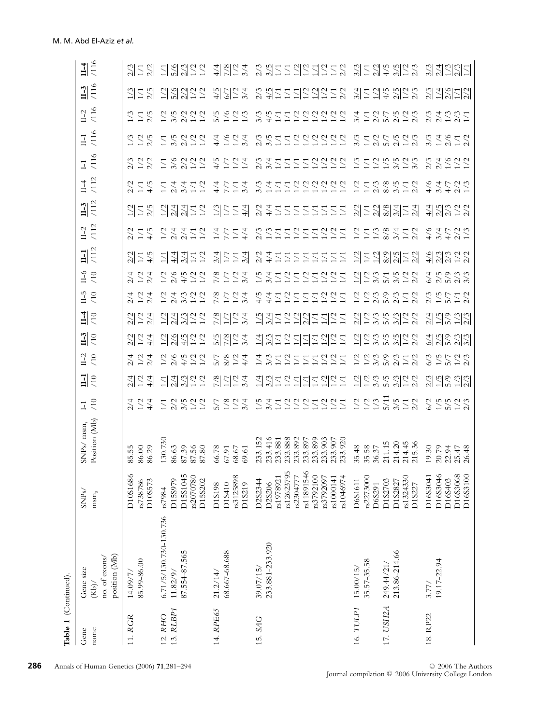| Table 1 (Continued)  |                                                     |                                                                                                                             |                                                                                                            |                                                                        |                       |                                      |                       |                                                                                                                                       |                                                                                                                                      |                                                                |                                                          |                                                                                     |                                                    |                                                  |                                                |                             |                                                  |                                           |
|----------------------|-----------------------------------------------------|-----------------------------------------------------------------------------------------------------------------------------|------------------------------------------------------------------------------------------------------------|------------------------------------------------------------------------|-----------------------|--------------------------------------|-----------------------|---------------------------------------------------------------------------------------------------------------------------------------|--------------------------------------------------------------------------------------------------------------------------------------|----------------------------------------------------------------|----------------------------------------------------------|-------------------------------------------------------------------------------------|----------------------------------------------------|--------------------------------------------------|------------------------------------------------|-----------------------------|--------------------------------------------------|-------------------------------------------|
| Gene<br>name         | position (Mb)<br>no. of exons/<br>Gene size<br>(Kb) | SNPs/<br>$\rm{msm}_{\rm s}$                                                                                                 | Position (Mb)<br>${\rm SNPs}/$ msm,                                                                        | $\frac{1}{10}$                                                         | $\frac{1}{10}$        | $\frac{1}{10}$                       | $\frac{1}{10}$        | $\frac{14}{10}$                                                                                                                       | $\frac{0}{\sqrt{10}}$<br>$\frac{0}{5}$                                                                                               | '112<br>$\Xi$                                                  | /112<br>$II-2$                                           | $\frac{1}{112}$                                                                     | $\frac{114}{112}$                                  | $\frac{11}{116}$                                 | II-1<br>/116                                   | $II - 2$<br>/116            | $\frac{1}{116}$                                  | $\frac{114}{116}$                         |
| 11. RGR              | 85.99-86.00<br>14.09/7/                             | D10S1686<br>D10S573<br>rs738786                                                                                             | 86.00<br>86.29<br>85.                                                                                      | 222                                                                    | 기능화                   | $\frac{2}{2}$                        |                       | $\frac{1}{4}$                                                                                                                         |                                                                                                                                      | $2/2$<br>$\frac{2}{1}$                                         |                                                          | $\frac{2}{11}$                                                                      | $\Xi$                                              | 222                                              |                                                | 255                         | 25.5                                             | 2152                                      |
| 13. RLBP1<br>12. RHO | 6.71/5/130.730-130.736<br>87.554-87.565<br>11.82/9/ | D15S1045<br>rs2070780<br>D15S202<br>D15S979<br>rs7984                                                                       | 130.730<br>87.39<br>86.63<br>87.56<br>87.80                                                                | 52522                                                                  | 김╣씡증증                 | こくたいこ                                | 2822                  | $\frac{2}{3}$<br>$\frac{2}{2}$<br>$\mathbb{Z}^4$                                                                                      | 4/5<br>$\geq$<br>$\mathbb{S}$<br>$\geq$                                                                                              | Ξ2<br>$\frac{4}{4}$<br>$\frac{3}{4}$                           | $\frac{4}{2}$ $\frac{4}{2}$<br>$\geq$<br>Ξ               | 의외의국                                                                                | $\geq$<br>$\frac{2}{4}$<br>3/4<br>Ξ<br>Ξ           |                                                  |                                                | 25222                       | <u>김 위심</u> 등 등                                  | <u>리웨잉 등</u>                              |
| 14. RPE65            | 68.667-68.688<br>21.2/14/                           | rs3125898<br>D1S410<br>D1S219<br>D1S198                                                                                     | 66.78<br>68.67<br>67.91<br>69.61                                                                           | 227<br>5/7                                                             | 2524                  | $\frac{8}{22}$ $\frac{24}{4}$<br>5/7 | 5227                  | $\frac{8}{1}$<br>$\geq$<br>3/4<br>2<br>$\frac{8}{1}$<br>$\geq$<br>$\frac{3}{4}$<br>2                                                  | $\frac{8}{1}$<br>$\overline{2}$<br>3/4<br>2                                                                                          | 25.74                                                          | $\frac{4}{4}$<br>$\geq$<br>$\sum$<br>7.7                 | 255<br>$\frac{4}{4}$                                                                | $\frac{4}{1}$<br>$\frac{3}{4}$<br>$\sum_{i=1}^{n}$ | $\frac{4}{5}$<br>521                             | $227$<br>$-27$<br>$\frac{4}{4}$                | 5/5<br>1/6<br>$\frac{1}{2}$ | $\frac{4/5}{6/7}$<br>$\frac{1}{2}$ $\frac{4}{4}$ | $\frac{4}{2}$ $\frac{8}{2}$ $\frac{2}{2}$ |
| 15. SAG              | 233.881-233.920<br>39.07/15/                        | rs12623795<br>rs11891546<br>rs1978921<br>rs2304777<br>rs3792100<br>rs3792097<br>rs1000141<br>rs1046974<br>D2S2344<br>D2S206 | 233.152<br>233.416<br>233.888<br>233.892<br>233.899<br>233.903<br>233.907<br>233.920<br>233.897<br>233.881 | 525252525575                                                           | <i>치상금공 지키를 하</i> 급 같 | さんこうこここういこ                           | <u> 김영중중 김김</u> 준영중 2 | $\frac{4}{5}$<br>$\geq$<br>$\geq$<br>$\geq$<br>$\frac{4}{4}$<br>$\sum$<br>$\sum$<br>$\sum$<br>$\sum$<br>Ξ<br>刹금을 읽었을 뒤올 물<br>$^{1/5}$ | 1/5<br>$\frac{1}{2}$<br>3/4<br>$\frac{2}{2}$<br>$\mathbb{Z}$<br>$\geq$<br>$\overline{11}$<br>$\overline{11}$<br>$\overline{11}$<br>Ξ | 2 さこここ<br>$\Xi$<br>ΞZ<br>$\overline{\Sigma}$                   | 525<br>522<br>2321<br>$\overline{\Sigma}$                | 2371<br>$\Xi \Xi$<br>$\overline{2}$<br>$\overline{11}$<br>$\sum$<br>$\Xi$<br>$\sum$ | 2777277777                                         | 2 3 2 2 2 2 2 2 2 2 2                            | c s z z z z z z z z z<br>2 s z z z z z z z z z | 222222222222                | 2 もけこいについこと                                      | 응 워글을 읽을 걸을 들었                            |
| 16. TULP1            | 35.57-35.58<br>15.00/15,                            | rs2273000<br>D6S1611<br>D6S291                                                                                              | 35.48<br>35.58<br>36.37                                                                                    |                                                                        |                       | $\frac{2}{1}$ $\frac{2}{1}$          |                       | $\frac{2}{3}$<br>2/2<br>$\frac{1}{2}$<br>3/3                                                                                          | $\frac{1}{2}$<br>$\frac{2}{2}$<br>3/3<br>$\geq$<br>$\overline{2}$                                                                    | 25                                                             | $\frac{2}{2}$<br>$\Sigma$                                |                                                                                     | $\frac{2}{2}$<br>2/3<br>$\overline{1/1}$           | 1/3<br>$\overline{2}$<br>$\overline{\mathbf{1}}$ |                                                |                             | $\frac{3}{4}$                                    |                                           |
| 17. USH2A            | 213.86-214.66<br>249.44/21/                         | rs1324330<br>D1S2703<br>D1S2827<br>D1S227                                                                                   | 214.20<br>214.45<br>215.36<br>211.15                                                                       | $\begin{array}{c}\n 228 \\  235 \\  255 \\  265 \\  248\n \end{array}$ |                       | 32352                                | 22222222222           | 5/9<br>$\frac{2}{2}$<br>$\overline{11}$<br>5.322                                                                                      | 3/5<br>$\overline{2}$<br>5/1                                                                                                         | $\frac{2}{8}$ $\frac{2}{9}$<br>$\frac{2}{2}$<br>1/1            | $\frac{2}{8}$<br>3/4<br>$\frac{2}{2}$<br>$\overline{11}$ | <u> 경</u> 품 기술 기술 기                                                                 | 28.5<br>$\frac{2}{2}$                              | 15.828                                           | 22252222                                       | * 1275222<br>* 1275272      | 25.22                                            | 32372                                     |
| 18. RP22             | 19.17-22.94<br>3.77/                                | D16S3041<br>D16S3046<br>D16S3068<br>D16S3100<br>D16S403                                                                     | 19.30<br>20.79<br>22.94<br>25.47<br>26.48                                                                  | 2 5 5 2 3<br>2 5 5 7 3                                                 | <u>김김양 대양</u>         | 35523                                | <u> 김 씨</u> 은 김 씨     | 2222<br><u> 김 의중 의원</u>                                                                                                               |                                                                                                                                      | $\frac{16}{2}$ 3/3<br>$\frac{12}{2}$ 3/3<br>$\frac{12}{2}$ 3/3 | $rac{6}{4}$<br>3/4                                       | $\frac{4}{3}$ $\frac{10}{3}$ $\frac{2}{3}$ $\frac{2}{3}$                            | $rac{6}{4}$<br>さいひこう<br>インクリー                      | さんこう<br>2/3                                      | 27272                                          | 22222                       | 경찰성경                                             | 33333                                     |

**286** Annals of Human Genetics (2006) **71**,281–294 C 2006 The Authors Journal compilation C 2006 The Authors College London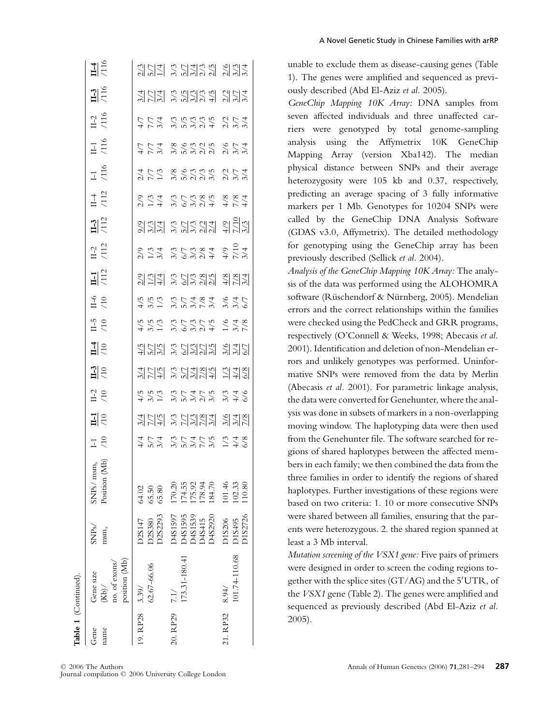| Table 1 (Continued). | Gene<br>name                                        | 19. RP28 3.39/              | 20. RP29                                                                       | 21. RP32                    |
|----------------------|-----------------------------------------------------|-----------------------------|--------------------------------------------------------------------------------|-----------------------------|
|                      | position (Mb)<br>no. of exons/<br>Gene size<br>(Kb) | 62.67-66.06                 | 173.31-180.41<br>7.1/                                                          | 101.74-110.68<br>8.94/      |
|                      | SNP <sub>S</sub> /<br>msm <sub>s</sub>              | C6Z2293<br>D2S147<br>D2S380 | D4S1597<br>D4S1595<br><b>065135</b><br>D4S2920<br>D4S415                       | O1S2726<br>D1S206<br>D1S495 |
|                      | (Mb)<br>$nsm_s$<br>SNPs/ n<br>Position              | 64.02<br>65.50<br>65.80     | 174.55<br>175.92<br>178.94<br>170.20<br>184.70                                 | 101.46<br>102.33<br>110.80  |
|                      | $\frac{1}{10}$                                      |                             | キワム ひワムレカ ハイ8<br>キロム ひしんしん ハイ8                                                 |                             |
|                      | $\frac{1}{10}$                                      |                             | 当日취 응日위원원 윙윙동                                                                  |                             |
|                      | $\frac{1}{10}$                                      |                             | ようり こうさんこう とさんさん しょうしょう しょう                                                    |                             |
|                      | $\frac{1}{10}$                                      |                             | 当日참 응립원심 경찰의                                                                   |                             |
|                      | $\frac{14}{10}$                                     |                             | 취임성 중립위심성 정립인                                                                  |                             |
|                      | $\frac{0}{5}$                                       |                             |                                                                                |                             |
|                      | $\frac{6}{10}$                                      |                             | ようし とうじょく じょうさん しょうしょう しょうしょう                                                  |                             |
|                      | $\frac{11}{112}$                                    |                             | 324 35334 324                                                                  |                             |
|                      | $11-2$                                              |                             | ente de l'aligne<br>Sur de l'aligne de l'aligne<br>Sur de l'aligne de l'aligne |                             |
|                      | 112                                                 |                             | 333 32334 323                                                                  |                             |
|                      | $\frac{1}{4}$ $\frac{4}{12}$                        |                             |                                                                                |                             |
|                      | $1 - 1$<br>$(116)$                                  |                             | ハイル おようごう クラムトル しょうしょう しょうしょう しょうしょう                                           |                             |
|                      | $\frac{11}{116}$                                    |                             | トトル めんちつう クトルトリス しょうしょう しょうしょう                                                 |                             |
|                      | $\frac{11-2}{116}$                                  |                             | トトォ とうどうこう パイト<br>イトス こうさん                                                     |                             |
|                      | $\frac{1}{116}$                                     |                             | 원님의 응명하였습니다.                                                                   |                             |
|                      | $\frac{14}{116}$                                    |                             | 2011 2011 2012 2014                                                            |                             |

A Novel Genetic Study in Chinese Families with arRP

unable to exclude them as disease-causing genes (Table 1). The genes were amplified and sequenced as previously described (Abd El-Aziz *et al.* 2005).

*GeneChip Mapping 10K Array:* DNA samples from seven affected individuals and three unaffected carriers were genotyped by total genome-sampling analysis using the Affymetrix 10K GeneChip Mapping Array (version Xba142). The median physical distance between SNPs and their average heterozygosity were 105 kb and 0.37, respectively, predicting an average spacing of 3 fully informative markers per 1 Mb. Genotypes for 10204 SNPs were called by the GeneChip DNA Analysis Software (GDAS v3.0, Affymetrix). The detailed methodology for genotyping using the GeneChip array has been previously described (Sellick *et al.* 2004).

*Analysis of the GeneChip Mapping 10K Array:* The analysis of the data was performed using the ALOHOMRA software (Rüschendorf & Nürnberg, 2005). Mendelian errors and the correct relationships within the families were checked using the PedCheck and GRR programs, respectively (O'Connell & Weeks, 1998; Abecasis *et al.* 2001). Identification and deletion of non-Mendelian errors and unlikely genotypes was performed. Uninformative SNPs were removed from the data by Merlin (Abecasis *et al.* 2001). For parametric linkage analysis, the data were converted for Genehunter, where the analysis was done in subsets of markers in a non-overlapping moving window. The haplotyping data were then used from the Genehunter file. The software searched for regions of shared haplotypes between the affected members in each family; we then combined the data from the three families in order to identify the regions of shared haplotypes. Further investigations of these regions were based on two criteria: 1. 10 or more consecutive SNPs were shared between all families, ensuring that the parents were heterozygous. 2. the shared region spanned at least a 3 Mb interval.

*Mutation screening of the VSX1 gene:* Five pairs of primers were designed in order to screen the coding regions together with the splice sites (GT/AG) and the 5 UTR, of the *VSX1* gene (Table 2). The genes were amplified and sequenced as previously described (Abd El-Aziz *et al.* 2005).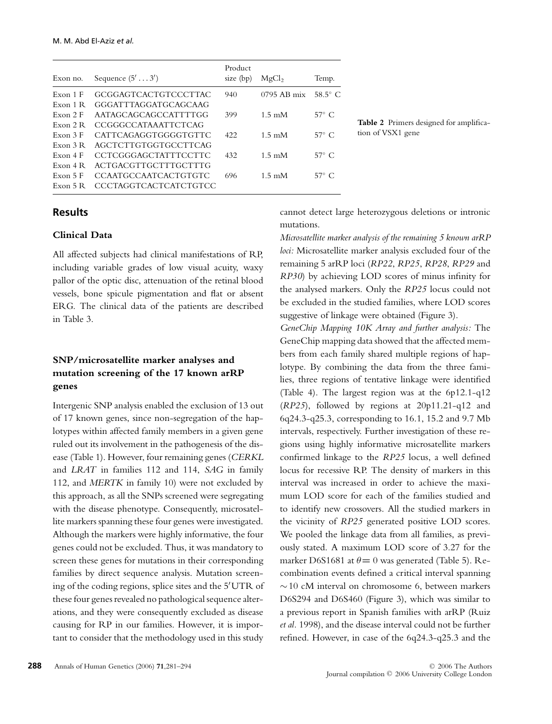| Exon no.  | Sequence $(5' \dots 3')$     | Product<br>size $(bp)$ | MgCl <sub>2</sub>         | Temp.          |
|-----------|------------------------------|------------------------|---------------------------|----------------|
| Exon 1 F  | GCGGAGTCACTGTCCCTTAC         | 940                    | $0795$ AB mix             | $58.5^\circ$ C |
| Exon 1 R  | GGGATTTAGGATGCAGCAAG         |                        |                           |                |
| Exon 2F   | AATAGCAGCAGCCATTTTGG         | 399                    | $1.5 \text{ }\mathrm{mM}$ | $57^\circ$ C   |
| Exon $2R$ | <b>CCGGGCCATAAATTCTCAG</b>   |                        |                           |                |
| Exon 3F   | <b>CATTCAGAGGTGGGGTGTTC</b>  | 422                    | $1.5 \text{ }\mathrm{mM}$ | $57^\circ$ C   |
| Exon 3 R  | AGCTCTTGTGGTGCCTTCAG         |                        |                           |                |
| Exon 4F   | <b>CCTCGGGAGCTATTTCCTTC</b>  | 432                    | $1.5 \text{ }\mathrm{mM}$ | $57^\circ$ C   |
| Exon $4R$ | ACTGACGTTGCTTTGCTTTG         |                        |                           |                |
| Exon $5F$ | <b>CCAATGCCAATCACTGTGTC</b>  | 696                    | $1.5 \text{ }\mathrm{mM}$ | $57^\circ$ C   |
| Exon $5R$ | <b>CCCTAGGTCACTCATCTGTCC</b> |                        |                           |                |

**Table 2** Primers designed for amplification of VSX1 gene

## **Results**

### **Clinical Data**

All affected subjects had clinical manifestations of RP, including variable grades of low visual acuity, waxy pallor of the optic disc, attenuation of the retinal blood vessels, bone spicule pigmentation and flat or absent ERG. The clinical data of the patients are described in Table 3.

## **SNP/microsatellite marker analyses and mutation screening of the 17 known arRP genes**

Intergenic SNP analysis enabled the exclusion of 13 out of 17 known genes, since non-segregation of the haplotypes within affected family members in a given gene ruled out its involvement in the pathogenesis of the disease (Table 1). However, four remaining genes (*CERKL* and *LRAT* in families 112 and 114, *SAG* in family 112, and *MERTK* in family 10) were not excluded by this approach, as all the SNPs screened were segregating with the disease phenotype. Consequently, microsatellite markers spanning these four genes were investigated. Although the markers were highly informative, the four genes could not be excluded. Thus, it was mandatory to screen these genes for mutations in their corresponding families by direct sequence analysis. Mutation screening of the coding regions, splice sites and the 5 UTR of these four genes revealed no pathological sequence alterations, and they were consequently excluded as disease causing for RP in our families. However, it is important to consider that the methodology used in this study cannot detect large heterozygous deletions or intronic mutations.

*Microsatellite marker analysis of the remaining 5 known arRP loci:* Microsatellite marker analysis excluded four of the remaining 5 arRP loci (*RP22*, *RP25*, *RP28*, *RP29* and *RP30*) by achieving LOD scores of minus infinity for the analysed markers. Only the *RP25* locus could not be excluded in the studied families, where LOD scores suggestive of linkage were obtained (Figure 3).

*GeneChip Mapping 10K Array and further analysis:* The GeneChip mapping data showed that the affected members from each family shared multiple regions of haplotype. By combining the data from the three families, three regions of tentative linkage were identified (Table 4). The largest region was at the 6p12.1-q12 (*RP25*), followed by regions at 20p11.21-q12 and 6q24.3-q25.3, corresponding to 16.1, 15.2 and 9.7 Mb intervals, respectively. Further investigation of these regions using highly informative microsatellite markers confirmed linkage to the *RP25* locus, a well defined locus for recessive RP. The density of markers in this interval was increased in order to achieve the maximum LOD score for each of the families studied and to identify new crossovers. All the studied markers in the vicinity of *RP25* generated positive LOD scores. We pooled the linkage data from all families, as previously stated. A maximum LOD score of 3.27 for the marker D6S1681 at  $\theta = 0$  was generated (Table 5). Recombination events defined a critical interval spanning ∼10 cM interval on chromosome 6, between markers D6S294 and D6S460 (Figure 3), which was similar to a previous report in Spanish families with arRP (Ruiz *et al.* 1998), and the disease interval could not be further refined. However, in case of the 6q24.3-q25.3 and the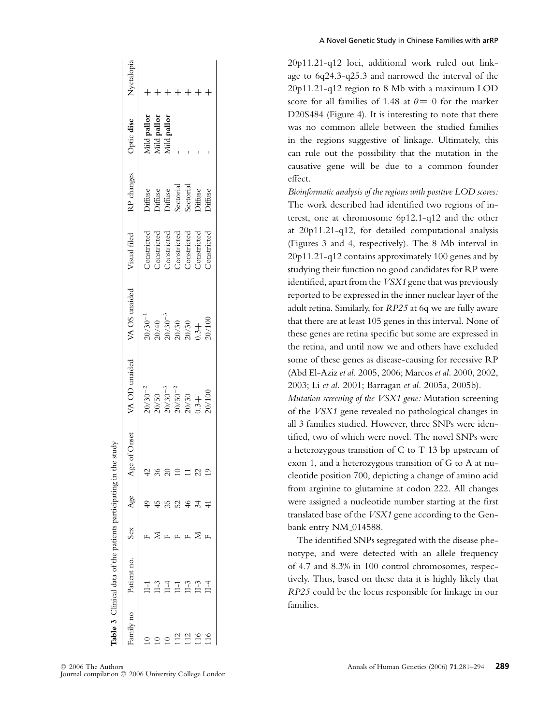|           | lable 3 Clinical data of the patients participating |   |    | n the study   |                                                                                                          |                                                                                                                          |                    |                                                                  |                                           |            |
|-----------|-----------------------------------------------------|---|----|---------------|----------------------------------------------------------------------------------------------------------|--------------------------------------------------------------------------------------------------------------------------|--------------------|------------------------------------------------------------------|-------------------------------------------|------------|
| ou vlimes | Patient no. Sex                                     |   |    | Age of Onset  | VA OD unaided                                                                                            | VA OS unaided                                                                                                            | Visual filed       | RP changes                                                       | Optic disc                                | Nyctalopia |
|           |                                                     |   |    | $\frac{2}{3}$ | $20/30^{-2}$                                                                                             |                                                                                                                          | <b>Constricted</b> |                                                                  |                                           |            |
|           |                                                     |   |    | 36            |                                                                                                          |                                                                                                                          | Constricted        |                                                                  | Mild pallor<br>Mild pallor<br>Mild pallor |            |
|           |                                                     |   |    | $\approx$     |                                                                                                          |                                                                                                                          | Constricted        |                                                                  |                                           |            |
|           | E                                                   |   | 52 |               |                                                                                                          |                                                                                                                          | Constricted        |                                                                  |                                           |            |
|           | $1 - 3$                                             |   |    | $\equiv$      |                                                                                                          |                                                                                                                          | Constricted        |                                                                  |                                           |            |
|           | $1 - 3$                                             | Σ | 34 | 22            | $\begin{array}{l} 20/50 \\ 20/30^{-3} \\ 20/50^{-2} \\ 20/30 \\ 20/30 \\ 0.3 + \\ 20/100 \\ \end{array}$ | $\begin{array}{l} 20/30^{-1} \ 20/40 \ 20/30^{-3} \ 20/30^{-3} \ 20/30 \ 20/30 \ 0.3+ \ 0.3+20/100 \ 20/100 \end{array}$ | Constricted        | Diffuse<br>Diffuse<br>Diffuse<br>Sectorial<br>Diffuse<br>Diffuse |                                           |            |
|           |                                                     |   |    |               |                                                                                                          |                                                                                                                          | Constricted        |                                                                  |                                           |            |
|           |                                                     |   |    |               |                                                                                                          |                                                                                                                          |                    |                                                                  |                                           |            |

20p11.21-q12 loci, additional work ruled out linkage to 6q24.3-q25.3 and narrowed the interval of the 20p11.21-q12 region to 8 Mb with a maximum LOD score for all families of 1.48 at  $\theta = 0$  for the marker D20S484 (Figure 4). It is interesting to note that there was no common allele between the studied families in the regions suggestive of linkage. Ultimately, this can rule out the possibility that the mutation in the causative gene will be due to a common founder effect.

*Bioinformatic analysis of the regions with positive LOD scores:* The work described had identified two regions of interest, one at chromosome 6p12.1-q12 and the other at 20p11.21-q12, for detailed computational analysis (Figures 3 and 4, respectively). The 8 Mb interval in 20p11.21-q12 contains approximately 100 genes and by studying their function no good candidates for RP were identified, apart from the*VSX1* gene that was previously reported to be expressed in the inner nuclear layer of the adult retina. Similarly, for *RP25* at 6q we are fully aware that there are at least 105 genes in this interval. None of these genes are retina specific but some are expressed in the retina, and until now we and others have excluded some of these genes as disease-causing for recessive RP (Abd El-Aziz *et al.* 2005, 2006; Marcos *et al.* 2000, 2002, 2003; Li *et al.* 2001; Barragan *et al.* 2005a, 2005b).

*Mutation screening of the VSX1 gene:* Mutation screening of the *VSX1* gene revealed no pathological changes in all 3 families studied. However, three SNPs were identified, two of which were novel. The novel SNPs were a heterozygous transition of C to T 13 bp upstream of exon 1, and a heterozygous transition of G to A at nucleotide position 700, depicting a change of amino acid from arginine to glutamine at codon 222. All changes were assigned a nucleotide number starting at the first translated base of the *VSX1* gene according to the Genbank entry NM<sub>-014588</sub>.

The identified SNPs segregated with the disease phenotype, and were detected with an allele frequency of 4.7 and 8.3% in 100 control chromosomes, respectively. Thus, based on these data it is highly likely that *RP25* could be the locus responsible for linkage in our families.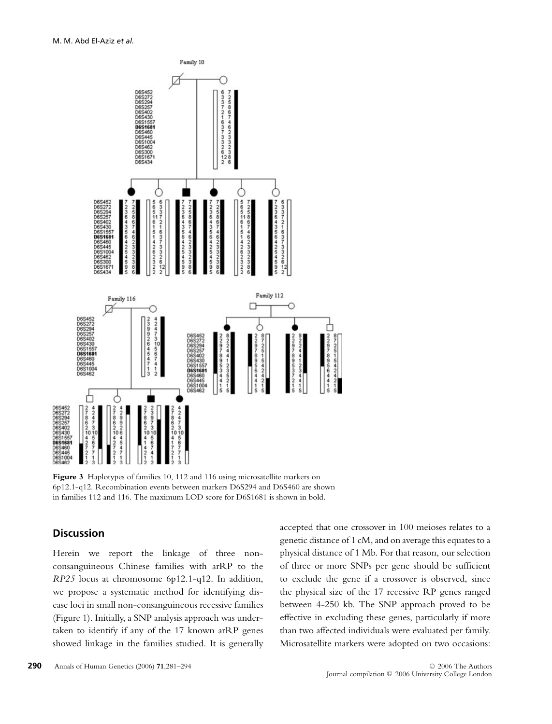

**Figure 3** Haplotypes of families 10, 112 and 116 using microsatellite markers on 6p12.1-q12. Recombination events between markers D6S294 and D6S460 are shown in families 112 and 116. The maximum LOD score for D6S1681 is shown in bold.

#### **Discussion**

Herein we report the linkage of three nonconsanguineous Chinese families with arRP to the *RP25* locus at chromosome 6p12.1-q12. In addition, we propose a systematic method for identifying disease loci in small non-consanguineous recessive families (Figure 1). Initially, a SNP analysis approach was undertaken to identify if any of the 17 known arRP genes showed linkage in the families studied. It is generally accepted that one crossover in 100 meioses relates to a genetic distance of 1 cM, and on average this equates to a physical distance of 1 Mb. For that reason, our selection of three or more SNPs per gene should be sufficient to exclude the gene if a crossover is observed, since the physical size of the 17 recessive RP genes ranged between 4-250 kb. The SNP approach proved to be effective in excluding these genes, particularly if more than two affected individuals were evaluated per family. Microsatellite markers were adopted on two occasions: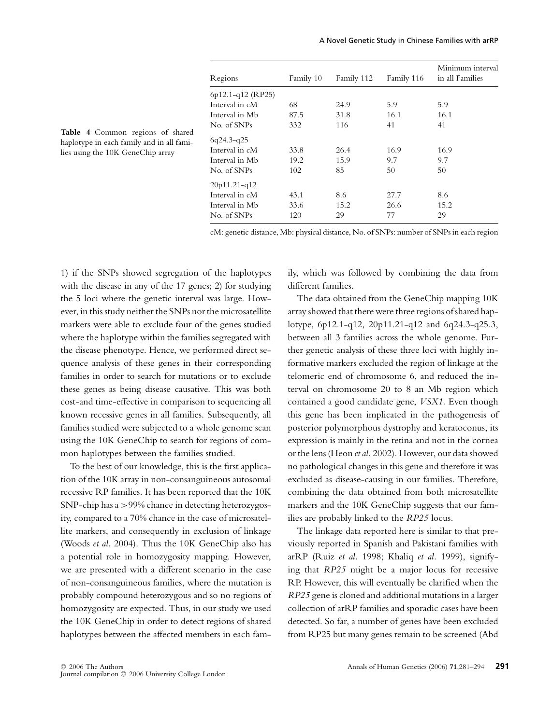|                     |           |            |            | Minimum interval |
|---------------------|-----------|------------|------------|------------------|
| Regions             | Family 10 | Family 112 | Family 116 | in all Families  |
| $6p12.1-q12$ (RP25) |           |            |            |                  |
| Interval in cM      | 68        | 24.9       | 5.9        | 5.9              |
| Interval in Mb      | 87.5      | 31.8       | 16.1       | 16.1             |
| No. of SNPs         | 332       | 116        | 41         | 41               |
| $6q24.3-q25$        |           |            |            |                  |
| Interval in cM      | 33.8      | 26.4       | 16.9       | 16.9             |
| Interval in Mb      | 19.2      | 15.9       | 9.7        | 9.7              |
| No. of SNPs         | 102       | 85         | 50         | 50               |
| $20p11.21-q12$      |           |            |            |                  |
| Interval in cM      | 43.1      | 8.6        | 27.7       | 8.6              |
| Interval in Mb      | 33.6      | 15.2       | 26.6       | 15.2             |
| No. of SNPs         | 120       | 29         | 77         | 29               |

**Table 4** Common regions of shared haplotype in each family and in all families using the 10K GeneChip array

cM: genetic distance, Mb: physical distance, No. of SNPs: number of SNPs in each region

1) if the SNPs showed segregation of the haplotypes with the disease in any of the 17 genes; 2) for studying the 5 loci where the genetic interval was large. However, in this study neither the SNPs nor the microsatellite markers were able to exclude four of the genes studied where the haplotype within the families segregated with the disease phenotype. Hence, we performed direct sequence analysis of these genes in their corresponding families in order to search for mutations or to exclude these genes as being disease causative. This was both cost-and time-effective in comparison to sequencing all known recessive genes in all families. Subsequently, all families studied were subjected to a whole genome scan using the 10K GeneChip to search for regions of common haplotypes between the families studied.

To the best of our knowledge, this is the first application of the 10K array in non-consanguineous autosomal recessive RP families. It has been reported that the 10K SNP-chip has a >99% chance in detecting heterozygosity, compared to a 70% chance in the case of microsatellite markers, and consequently in exclusion of linkage (Woods *et al.* 2004). Thus the 10K GeneChip also has a potential role in homozygosity mapping. However, we are presented with a different scenario in the case of non-consanguineous families, where the mutation is probably compound heterozygous and so no regions of homozygosity are expected. Thus, in our study we used the 10K GeneChip in order to detect regions of shared haplotypes between the affected members in each family, which was followed by combining the data from different families.

The data obtained from the GeneChip mapping 10K array showed that there were three regions of shared haplotype, 6p12.1-q12, 20p11.21-q12 and 6q24.3-q25.3, between all 3 families across the whole genome. Further genetic analysis of these three loci with highly informative markers excluded the region of linkage at the telomeric end of chromosome 6, and reduced the interval on chromosome 20 to 8 an Mb region which contained a good candidate gene, *VSX1.* Even though this gene has been implicated in the pathogenesis of posterior polymorphous dystrophy and keratoconus, its expression is mainly in the retina and not in the cornea or the lens (Heon *et al.* 2002). However, our data showed no pathological changes in this gene and therefore it was excluded as disease-causing in our families. Therefore, combining the data obtained from both microsatellite markers and the 10K GeneChip suggests that our families are probably linked to the *RP25* locus.

The linkage data reported here is similar to that previously reported in Spanish and Pakistani families with arRP (Ruiz *et al.* 1998; Khaliq *et al.* 1999), signifying that *RP25* might be a major locus for recessive RP. However, this will eventually be clarified when the *RP25* gene is cloned and additional mutations in a larger collection of arRP families and sporadic cases have been detected. So far, a number of genes have been excluded from RP25 but many genes remain to be screened (Abd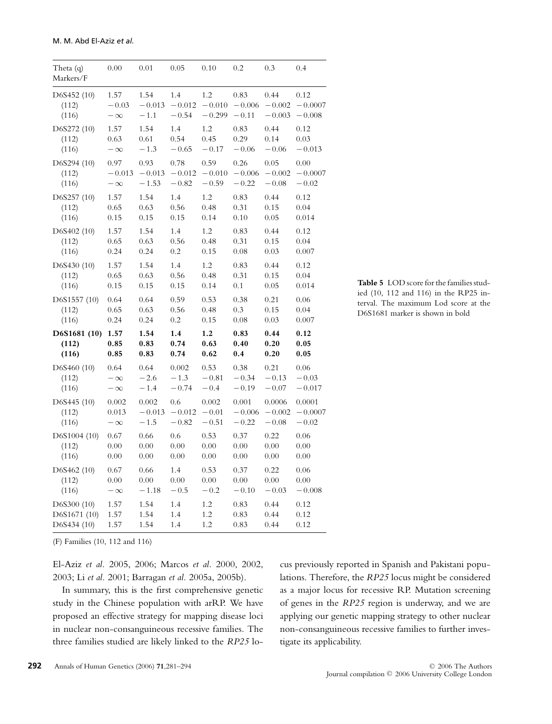| Theta (q)<br>Markers/F | 0.00      | 0.01     | 0.05     | 0.10     | 0.2      | 0.3      | 0.4       |
|------------------------|-----------|----------|----------|----------|----------|----------|-----------|
| D6S452 (10)            | 1.57      | 1.54     | 1.4      | 1.2      | 0.83     | 0.44     | 0.12      |
| (112)                  | $-0.03$   | $-0.013$ | $-0.012$ | $-0.010$ | $-0.006$ | $-0.002$ | $-0.0007$ |
| (116)                  | $-\infty$ | $-1.1$   | $-0.54$  | $-0.299$ | $-0.11$  | $-0.003$ | $-0.008$  |
| D6S272 (10)            | 1.57      | 1.54     | 1.4      | 1.2      | 0.83     | 0.44     | 0.12      |
| (112)                  | 0.63      | 0.61     | 0.54     | 0.45     | 0.29     | 0.14     | 0.03      |
| (116)                  | $-\infty$ | $-1.3$   | $-0.65$  | $-0.17$  | $-0.06$  | $-0.06$  | $-0.013$  |
| D6S294 (10)            | 0.97      | 0.93     | 0.78     | 0.59     | 0.26     | 0.05     | 0.00      |
| (112)                  | $-0.013$  | $-0.013$ | $-0.012$ | $-0.010$ | $-0.006$ | $-0.002$ | $-0.0007$ |
| (116)                  | $-\infty$ | $-1.53$  | $-0.82$  | $-0.59$  | $-0.22$  | $-0.08$  | $-0.02$   |
| D6S257 (10)            | 1.57      | 1.54     | 1.4      | 1.2      | 0.83     | 0.44     | 0.12      |
| (112)                  | 0.65      | 0.63     | 0.56     | 0.48     | 0.31     | 0.15     | 0.04      |
| (116)                  | 0.15      | 0.15     | 0.15     | 0.14     | 0.10     | 0.05     | 0.014     |
| D6S402 (10)            | 1.57      | 1.54     | 1.4      | 1.2      | 0.83     | 0.44     | 0.12      |
| (112)                  | 0.65      | 0.63     | 0.56     | 0.48     | 0.31     | 0.15     | 0.04      |
| (116)                  | 0.24      | 0.24     | 0.2      | 0.15     | 0.08     | 0.03     | 0.007     |
| D6S430 (10)            | 1.57      | 1.54     | 1.4      | 1.2      | 0.83     | 0.44     | 0.12      |
| (112)                  | 0.65      | 0.63     | 0.56     | 0.48     | 0.31     | 0.15     | 0.04      |
| (116)                  | 0.15      | 0.15     | 0.15     | 0.14     | 0.1      | 0.05     | 0.014     |
| D6S1557 (10)           | 0.64      | 0.64     | 0.59     | 0.53     | 0.38     | 0.21     | 0.06      |
| (112)                  | 0.65      | 0.63     | 0.56     | 0.48     | 0.3      | 0.15     | 0.04      |
| (116)                  | 0.24      | 0.24     | 0.2      | 0.15     | 0.08     | 0.03     | 0.007     |
| D6S1681 (10)           | 1.57      | 1.54     | 1.4      | 1.2      | 0.83     | 0.44     | 0.12      |
| (112)                  | 0.85      | 0.83     | 0.74     | 0.63     | 0.40     | 0.20     | 0.05      |
| (116)                  | 0.85      | 0.83     | 0.74     | 0.62     | 0.4      | 0.20     | 0.05      |
| D6S460 (10)            | 0.64      | 0.64     | 0.002    | 0.53     | 0.38     | 0.21     | 0.06      |
| (112)                  | $-\infty$ | $-2.6$   | $-1.3$   | $-0.81$  | $-0.34$  | $-0.13$  | $-0.03$   |
| (116)                  | $-\infty$ | $-1.4$   | $-0.74$  | $-0.4$   | $-0.19$  | $-0.07$  | $-0.017$  |
| D6S445 (10)            | 0.002     | 0.002    | 0.6      | 0.002    | 0.001    | 0.0006   | 0.0001    |
| (112)                  | 0.013     | $-0.013$ | $-0.012$ | $-0.01$  | $-0.006$ | $-0.002$ | $-0.0007$ |
| (116)                  | $-\infty$ | $-1.5$   | $-0.82$  | $-0.51$  | $-0.22$  | $-0.08$  | $-0.02$   |
| D6S1004 (10)           | 0.67      | 0.66     | 0.6      | 0.53     | 0.37     | 0.22     | 0.06      |
| (112)                  | 0.00      | 0.00     | 0.00     | 0.00     | 0.00     | 0.00     | 0.00      |
| (116)                  | 0.00      | 0.00     | 0.00     | 0.00     | 0.00     | 0.00     | 0.00      |
| D6S462 (10)            | 0.67      | 0.66     | 1.4      | 0.53     | 0.37     | 0.22     | 0.06      |
| (112)                  | 0.00      | 0.00     | 0.00     | 0.00     | 0.00     | 0.00     | 0.00      |
| (116)                  | $-\infty$ | $-1.18$  | $-0.5$   | $-0.2$   | $-0.10$  | $-0.03$  | $-0.008$  |
| D6S300 (10)            | 1.57      | 1.54     | 1.4      | 1.2      | 0.83     | 0.44     | 0.12      |
| D6S1671 (10)           | 1.57      | 1.54     | 1.4      | 1.2      | 0.83     | 0.44     | 0.12      |
| D6S434 (10)            | 1.57      | 1.54     | 1.4      | 1.2      | 0.83     | 0.44     | 0.12      |

**Table 5** LOD score for the families studied (10, 112 and 116) in the RP25 interval. The maximum Lod score at the D6S1681 marker is shown in bold

(F) Families (10, 112 and 116)

El-Aziz *et al.* 2005, 2006; Marcos *et al.* 2000, 2002, 2003; Li *et al.* 2001; Barragan *et al.* 2005a, 2005b).

In summary, this is the first comprehensive genetic study in the Chinese population with arRP. We have proposed an effective strategy for mapping disease loci in nuclear non-consanguineous recessive families. The three families studied are likely linked to the *RP25* locus previously reported in Spanish and Pakistani populations. Therefore, the *RP25* locus might be considered as a major locus for recessive RP. Mutation screening of genes in the *RP25* region is underway, and we are applying our genetic mapping strategy to other nuclear non-consanguineous recessive families to further investigate its applicability.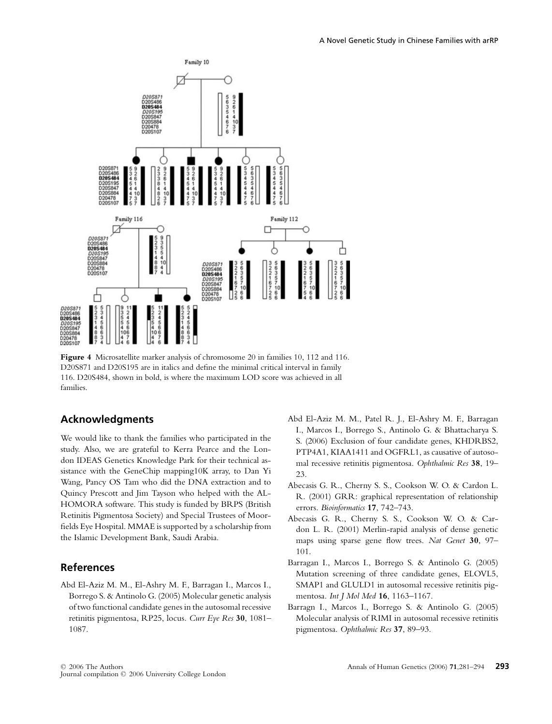



**Figure 4** Microsatellite marker analysis of chromosome 20 in families 10, 112 and 116. D20S871 and D20S195 are in italics and define the minimal critical interval in family 116. D20S484, shown in bold, is where the maximum LOD score was achieved in all families.

### **Acknowledgments**

We would like to thank the families who participated in the study. Also, we are grateful to Kerra Pearce and the London IDEAS Genetics Knowledge Park for their technical assistance with the GeneChip mapping10K array, to Dan Yi Wang, Pancy OS Tam who did the DNA extraction and to Quincy Prescott and Jim Tayson who helped with the AL-HOMORA software. This study is funded by BRPS (British Retinitis Pigmentosa Society) and Special Trustees of Moorfields Eye Hospital. MMAE is supported by a scholarship from the Islamic Development Bank, Saudi Arabia.

### **References**

Abd El-Aziz M. M., El-Ashry M. F., Barragan I., Marcos I., Borrego S. & Antinolo G. (2005) Molecular genetic analysis of two functional candidate genes in the autosomal recessive retinitis pigmentosa, RP25, locus. *Curr Eye Res* **30**, 1081– 1087.

- Abd El-Aziz M. M., Patel R. J., El-Ashry M. F., Barragan I., Marcos I., Borrego S., Antinolo G. & Bhattacharya S. S. (2006) Exclusion of four candidate genes, KHDRBS2, PTP4A1, KIAA1411 and OGFRL1, as causative of autosomal recessive retinitis pigmentosa. *Ophthalmic Res* **38**, 19– 23.
- Abecasis G. R., Cherny S. S., Cookson W. O. & Cardon L. R. (2001) GRR: graphical representation of relationship errors. *Bioinformatics* **17**, 742–743.
- Abecasis G. R., Cherny S. S., Cookson W. O. & Cardon L. R. (2001) Merlin-rapid analysis of dense genetic maps using sparse gene flow trees. *Nat Genet* **30**, 97– 101.
- Barragan I., Marcos I., Borrego S. & Antinolo G. (2005) Mutation screening of three candidate genes, ELOVL5, SMAP1 and GLULD1 in autosomal recessive retinitis pigmentosa. *Int J Mol Med* **16**, 1163–1167.
- Barragn I., Marcos I., Borrego S. & Antinolo G. (2005) Molecular analysis of RIMI in autosomal recessive retinitis pigmentosa. *Ophthalmic Res* **37**, 89–93.